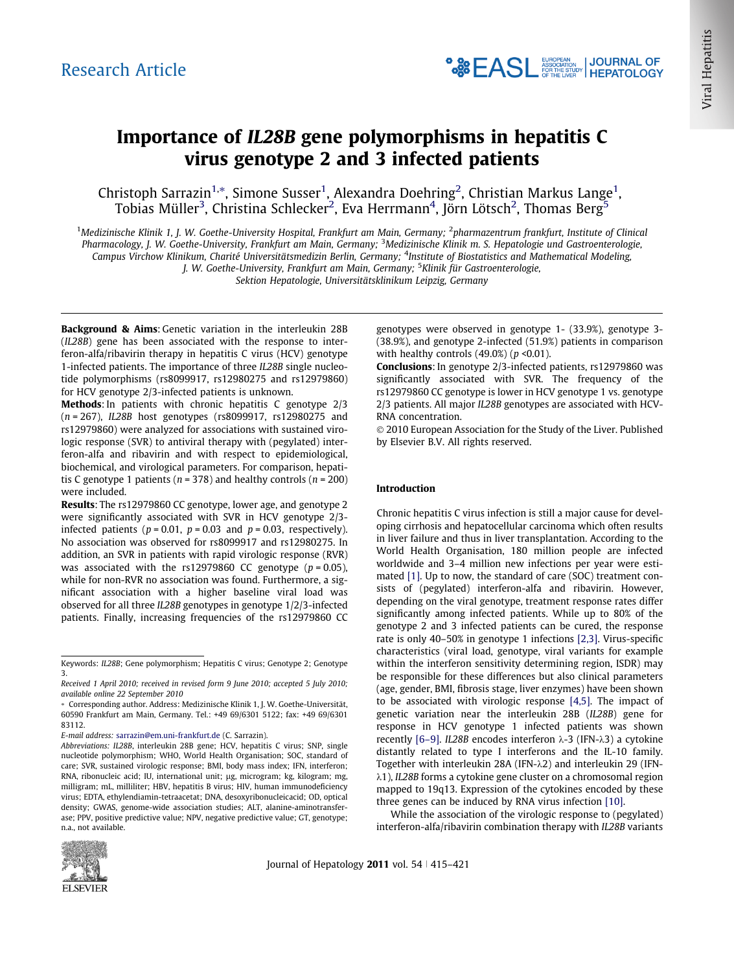# Importance of IL28B gene polymorphisms in hepatitis C virus genotype 2 and 3 infected patients

Christoph Sarrazin<sup>1,</sup>\*, Simone Susser<sup>1</sup>, Alexandra Doehring<sup>2</sup>, Christian Markus Lange<sup>1</sup>, Tobias Müller $^3$ , Christina Schlecker $^2$ , Eva Herrmann $^4$ , Jörn Lötsch $^2$ , Thomas Berg $^5$ 

<sup>1</sup>Medizinische Klinik 1, J. W. Goethe-University Hospital, Frankfurt am Main, Germany; <sup>2</sup>pharmazentrum frankfurt, Institute of Clinical Pharmacology, J. W. Goethe-University, Frankfurt am Main, Germany; <sup>3</sup>Medizinische Klinik m. S. Hepatologie und Gastroenterologie, Campus Virchow Klinikum, Charité Universitätsmedizin Berlin, Germany; <sup>4</sup>Institute of Biostatistics and Mathematical Modeling, J. W. Goethe-University, Frankfurt am Main, Germany; <sup>5</sup>Klinik für Gastroenterologie,

Sektion Hepatologie, Universitätsklinikum Leipzig, Germany

Background & Aims: Genetic variation in the interleukin 28B (IL28B) gene has been associated with the response to interferon-alfa/ribavirin therapy in hepatitis C virus (HCV) genotype 1-infected patients. The importance of three IL28B single nucleotide polymorphisms (rs8099917, rs12980275 and rs12979860) for HCV genotype 2/3-infected patients is unknown.

Methods: In patients with chronic hepatitis C genotype 2/3 (n = 267), IL28B host genotypes (rs8099917, rs12980275 and rs12979860) were analyzed for associations with sustained virologic response (SVR) to antiviral therapy with (pegylated) interferon-alfa and ribavirin and with respect to epidemiological, biochemical, and virological parameters. For comparison, hepatitis C genotype 1 patients ( $n = 378$ ) and healthy controls ( $n = 200$ ) were included.

Results: The rs12979860 CC genotype, lower age, and genotype 2 were significantly associated with SVR in HCV genotype 2/3 infected patients ( $p = 0.01$ ,  $p = 0.03$  and  $p = 0.03$ , respectively). No association was observed for rs8099917 and rs12980275. In addition, an SVR in patients with rapid virologic response (RVR) was associated with the rs12979860 CC genotype  $(p = 0.05)$ , while for non-RVR no association was found. Furthermore, a significant association with a higher baseline viral load was observed for all three IL28B genotypes in genotype 1/2/3-infected patients. Finally, increasing frequencies of the rs12979860 CC

Abbreviations: IL28B, interleukin 28B gene; HCV, hepatitis C virus; SNP, single nucleotide polymorphism; WHO, World Health Organisation; SOC, standard of care; SVR, sustained virologic response; BMI, body mass index; IFN, interferon; RNA, ribonucleic acid; IU, international unit; µg, microgram; kg, kilogram; mg, milligram; mL, milliliter; HBV, hepatitis B virus; HIV, human immunodeficiency virus; EDTA, ethylendiamin-tetraacetat; DNA, desoxyribonucleicacid; OD, optical density; GWAS, genome-wide association studies; ALT, alanine-aminotransferase; PPV, positive predictive value; NPV, negative predictive value; GT, genotype; n.a., not available.



Journal of Hepatology 2011 vol. 54  $\mid$  415–421

genotypes were observed in genotype 1- (33.9%), genotype 3- (38.9%), and genotype 2-infected (51.9%) patients in comparison with healthy controls  $(49.0\%)$  ( $p < 0.01$ ).

Conclusions: In genotype 2/3-infected patients, rs12979860 was significantly associated with SVR. The frequency of the rs12979860 CC genotype is lower in HCV genotype 1 vs. genotype 2/3 patients. All major IL28B genotypes are associated with HCV-RNA concentration.

© 2010 European Association for the Study of the Liver. Published by Elsevier B.V. All rights reserved.

### Introduction

Chronic hepatitis C virus infection is still a major cause for developing cirrhosis and hepatocellular carcinoma which often results in liver failure and thus in liver transplantation. According to the World Health Organisation, 180 million people are infected worldwide and 3–4 million new infections per year were estimated [\[1\]](#page-6-0). Up to now, the standard of care (SOC) treatment consists of (pegylated) interferon-alfa and ribavirin. However, depending on the viral genotype, treatment response rates differ significantly among infected patients. While up to 80% of the genotype 2 and 3 infected patients can be cured, the response rate is only 40–50% in genotype 1 infections [\[2,3\].](#page-6-0) Virus-specific characteristics (viral load, genotype, viral variants for example within the interferon sensitivity determining region, ISDR) may be responsible for these differences but also clinical parameters (age, gender, BMI, fibrosis stage, liver enzymes) have been shown to be associated with virologic response [\[4,5\]](#page-6-0). The impact of genetic variation near the interleukin 28B (IL28B) gene for response in HCV genotype 1 infected patients was shown recently [\[6–9\].](#page-6-0) IL28B encodes interferon  $\lambda$ -3 (IFN- $\lambda$ 3) a cytokine distantly related to type I interferons and the IL-10 family. Together with interleukin 28A (IFN- $\lambda$ 2) and interleukin 29 (IFN- $\lambda$ 1), IL28B forms a cytokine gene cluster on a chromosomal region mapped to 19q13. Expression of the cytokines encoded by these three genes can be induced by RNA virus infection [\[10\].](#page-6-0)

While the association of the virologic response to (pegylated) interferon-alfa/ribavirin combination therapy with IL28B variants

Keywords: IL28B; Gene polymorphism; Hepatitis C virus; Genotype 2; Genotype 3.

Received 1 April 2010; received in revised form 9 June 2010; accepted 5 July 2010; available online 22 September 2010

<sup>⇑</sup> Corresponding author. Address: Medizinische Klinik 1, J. W. Goethe-Universität, 60590 Frankfurt am Main, Germany. Tel.: +49 69/6301 5122; fax: +49 69/6301 83112.

E-mail address: [sarrazin@em.uni-frankfurt.de](mailto:sarrazin@em.uni-frankfurt.de) (C. Sarrazin).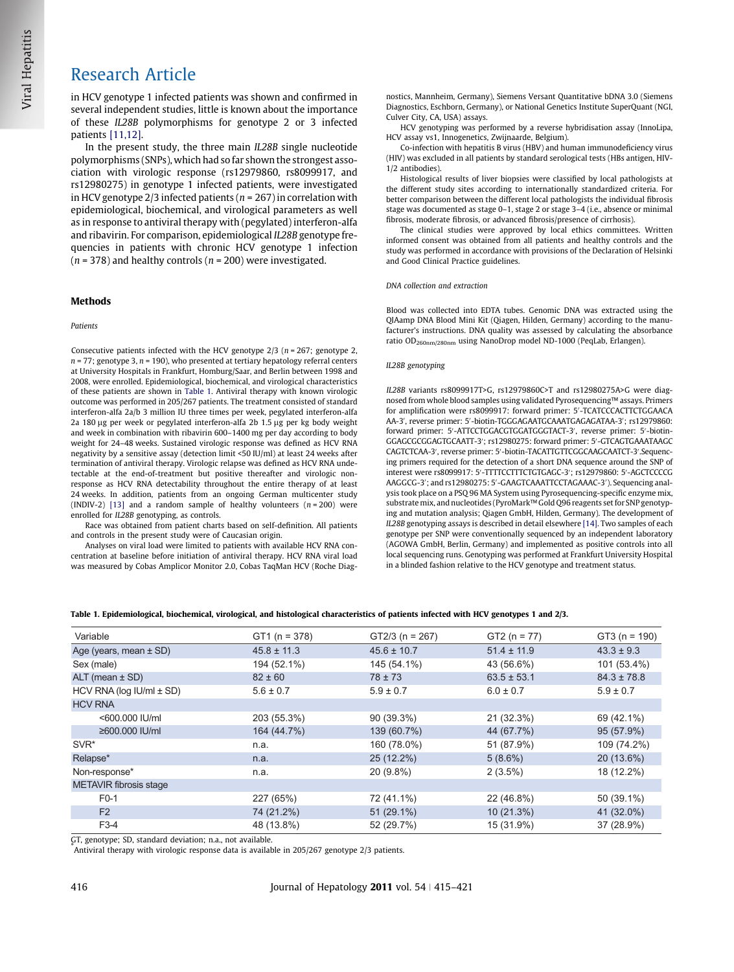<span id="page-1-0"></span>in HCV genotype 1 infected patients was shown and confirmed in several independent studies, little is known about the importance of these IL28B polymorphisms for genotype 2 or 3 infected patients [\[11,12\].](#page-6-0)

In the present study, the three main IL28B single nucleotide polymorphisms (SNPs), which had so far shown the strongest association with virologic response (rs12979860, rs8099917, and rs12980275) in genotype 1 infected patients, were investigated in HCV genotype 2/3 infected patients ( $n = 267$ ) in correlation with epidemiological, biochemical, and virological parameters as well as in response to antiviral therapy with (pegylated) interferon-alfa and ribavirin. For comparison, epidemiological IL28B genotype frequencies in patients with chronic HCV genotype 1 infection  $(n = 378)$  and healthy controls  $(n = 200)$  were investigated.

### Methods

#### Patients

Consecutive patients infected with the HCV genotype  $2/3$  ( $n = 267$ ; genotype 2,  $n = 77$ ; genotype 3,  $n = 190$ ), who presented at tertiary hepatology referral centers at University Hospitals in Frankfurt, Homburg/Saar, and Berlin between 1998 and 2008, were enrolled. Epidemiological, biochemical, and virological characteristics of these patients are shown in Table 1. Antiviral therapy with known virologic outcome was performed in 205/267 patients. The treatment consisted of standard interferon-alfa 2a/b 3 million IU three times per week, pegylated interferon-alfa 2a 180 µg per week or pegylated interferon-alfa 2b 1.5 µg per kg body weight and week in combination with ribavirin 600–1400 mg per day according to body weight for 24–48 weeks. Sustained virologic response was defined as HCV RNA negativity by a sensitive assay (detection limit <50 IU/ml) at least 24 weeks after termination of antiviral therapy. Virologic relapse was defined as HCV RNA undetectable at the end-of-treatment but positive thereafter and virologic nonresponse as HCV RNA detectability throughout the entire therapy of at least 24 weeks. In addition, patients from an ongoing German multicenter study (INDIV-2) [\[13\]](#page-6-0) and a random sample of healthy volunteers  $(n = 200)$  were enrolled for IL28B genotyping, as controls.

Race was obtained from patient charts based on self-definition. All patients and controls in the present study were of Caucasian origin.

Analyses on viral load were limited to patients with available HCV RNA concentration at baseline before initiation of antiviral therapy. HCV RNA viral load was measured by Cobas Amplicor Monitor 2.0, Cobas TaqMan HCV (Roche Diagnostics, Mannheim, Germany), Siemens Versant Quantitative bDNA 3.0 (Siemens Diagnostics, Eschborn, Germany), or National Genetics Institute SuperQuant (NGI, Culver City, CA, USA) assays.

HCV genotyping was performed by a reverse hybridisation assay (InnoLipa, HCV assay vs1, Innogenetics, Zwijnaarde, Belgium).

Co-infection with hepatitis B virus (HBV) and human immunodeficiency virus (HIV) was excluded in all patients by standard serological tests (HBs antigen, HIV-1/2 antibodies).

Histological results of liver biopsies were classified by local pathologists at the different study sites according to internationally standardized criteria. For better comparison between the different local pathologists the individual fibrosis stage was documented as stage 0–1, stage 2 or stage 3–4 (i.e., absence or minimal fibrosis, moderate fibrosis, or advanced fibrosis/presence of cirrhosis).

The clinical studies were approved by local ethics committees. Written informed consent was obtained from all patients and healthy controls and the study was performed in accordance with provisions of the Declaration of Helsinki and Good Clinical Practice guidelines.

#### DNA collection and extraction

Blood was collected into EDTA tubes. Genomic DNA was extracted using the QIAamp DNA Blood Mini Kit (Qiagen, Hilden, Germany) according to the manufacturer's instructions. DNA quality was assessed by calculating the absorbance ratio OD260nm/280nm using NanoDrop model ND-1000 (PeqLab, Erlangen).

#### IL28B genotyping

IL28B variants rs8099917T>G, rs12979860C>T and rs12980275A>G were diagnosed from whole blood samples using validated Pyrosequencing™ assays. Primers for amplification were rs8099917: forward primer: 5'-TCATCCCACTTCTGGAACA AA-3', reverse primer: 5'-biotin-TGGGAGAATGCAAATGAGAGATAA-3'; rs12979860: forward primer: 5'-ATTCCTGGACGTGGATGGGTACT-3', reverse primer: 5'-biotin-GGAGCGCGGAGTGCAATT-3'; rs12980275: forward primer: 5'-GTCAGTGAAATAAGC CAGTCTCAA-3', reverse primer: 5'-biotin-TACATTGTTCGGCAAGCAATCT-3'.Sequencing primers required for the detection of a short DNA sequence around the SNP of interest were rs8099917: 5'-TTTTCCTTTCTGTGAGC-3'; rs12979860: 5'-AGCTCCCCG AAGGCG-3'; and rs12980275: 5'-GAAGTCAAATTCCTAGAAAC-3'). Sequencing analysis took place on a PSQ 96 MA System using Pyrosequencing-specific enzyme mix, substrate mix, and nucleotides (PyroMark™ Gold Q96 reagents set for SNP genotyping and mutation analysis; Qiagen GmbH, Hilden, Germany). The development of IL28B genotyping assays is described in detail elsewhere [\[14\]](#page-6-0). Two samples of each genotype per SNP were conventionally sequenced by an independent laboratory (AGOWA GmbH, Berlin, Germany) and implemented as positive controls into all local sequencing runs. Genotyping was performed at Frankfurt University Hospital in a blinded fashion relative to the HCV genotype and treatment status.

|  |  | Table 1. Epidemiological, biochemical, virological, and histological characteristics of patients infected with HCV genotypes 1 and 2/3. |  |
|--|--|-----------------------------------------------------------------------------------------------------------------------------------------|--|
|--|--|-----------------------------------------------------------------------------------------------------------------------------------------|--|

| Variable                        | $GT1(n = 378)$  | $GT2/3$ (n = 267) | $GT2 (n = 77)$  | $GT3(n = 190)$  |
|---------------------------------|-----------------|-------------------|-----------------|-----------------|
| Age (years, mean $\pm$ SD)      | $45.8 \pm 11.3$ | $45.6 \pm 10.7$   | $51.4 \pm 11.9$ | $43.3 \pm 9.3$  |
| Sex (male)                      | 194 (52.1%)     | 145 (54.1%)       | 43 (56.6%)      | 101 (53.4%)     |
| $ALT$ (mean $\pm$ SD)           | $82 \pm 60$     | $78 \pm 73$       | $63.5 \pm 53.1$ | $84.3 \pm 78.8$ |
| HCV RNA ( $log$ IU/ml $\pm$ SD) | $5.6 \pm 0.7$   | $5.9 \pm 0.7$     | $6.0 \pm 0.7$   | $5.9 \pm 0.7$   |
| <b>HCV RNA</b>                  |                 |                   |                 |                 |
| <600,000 IU/ml                  | 203 (55.3%)     | 90 (39.3%)        | 21 (32.3%)      | 69 (42.1%)      |
| ≥600.000 IU/ml                  | 164 (44.7%)     | 139 (60.7%)       | 44 (67.7%)      | 95 (57.9%)      |
| SVR*                            | n.a.            | 160 (78.0%)       | 51 (87.9%)      | 109 (74.2%)     |
| Relapse*                        | n.a.            | 25 (12.2%)        | $5(8.6\%)$      | 20 (13.6%)      |
| Non-response*                   | n.a.            | 20 (9.8%)         | $2(3.5\%)$      | 18 (12.2%)      |
| <b>METAVIR</b> fibrosis stage   |                 |                   |                 |                 |
| $F0-1$                          | 227 (65%)       | 72 (41.1%)        | 22 (46.8%)      | 50 (39.1%)      |
| F <sub>2</sub>                  | 74 (21.2%)      | $51(29.1\%)$      | $10(21.3\%)$    | 41 (32.0%)      |
| F3-4                            | 48 (13.8%)      | 52 (29.7%)        | 15 (31.9%)      | 37 (28.9%)      |
|                                 |                 |                   |                 |                 |

GT, genotype; SD, standard deviation; n.a., not available.

\* Antiviral therapy with virologic response data is available in 205/267 genotype 2/3 patients.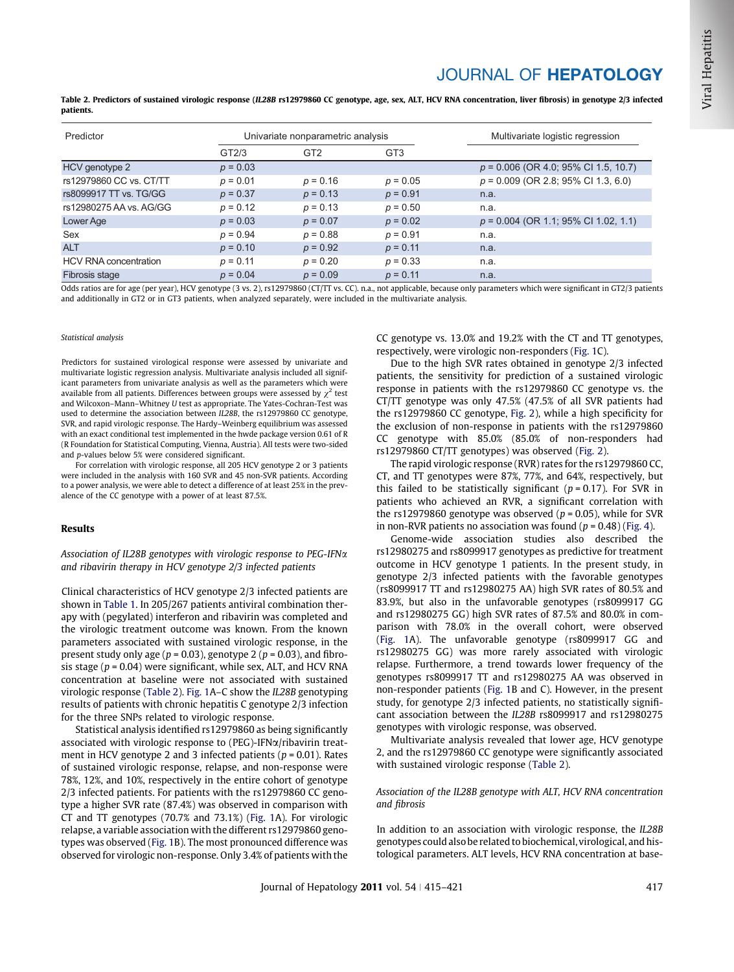# JOURNAL OF HEPATOLOGY

Table 2. Predictors of sustained virologic response (IL28B rs12979860 CC genotype, age, sex, ALT, HCV RNA concentration, liver fibrosis) in genotype 2/3 infected patients.

| Predictor                    | Univariate nonparametric analysis |                 |                 | Multivariate logistic regression       |  |  |
|------------------------------|-----------------------------------|-----------------|-----------------|----------------------------------------|--|--|
|                              | GT2/3                             | GT <sub>2</sub> | GT <sub>3</sub> |                                        |  |  |
| HCV genotype 2               | $p = 0.03$                        |                 |                 | $p = 0.006$ (OR 4.0; 95% CI 1.5, 10.7) |  |  |
| rs12979860 CC vs. CT/TT      | $p = 0.01$                        | $p = 0.16$      | $p = 0.05$      | $p = 0.009$ (OR 2.8; 95% CI 1.3, 6.0)  |  |  |
| rs8099917 TT vs. TG/GG       | $p = 0.37$                        | $p = 0.13$      | $p = 0.91$      | n.a.                                   |  |  |
| rs12980275 AA vs. AG/GG      | $p = 0.12$                        | $p = 0.13$      | $p = 0.50$      | n.a.                                   |  |  |
| Lower Age                    | $p = 0.03$                        | $p = 0.07$      | $p = 0.02$      | $p = 0.004$ (OR 1.1; 95% CI 1.02, 1.1) |  |  |
| Sex                          | $p = 0.94$                        | $p = 0.88$      | $p = 0.91$      | n.a.                                   |  |  |
| <b>ALT</b>                   | $p = 0.10$                        | $p = 0.92$      | $p = 0.11$      | n.a.                                   |  |  |
| <b>HCV RNA concentration</b> | $p = 0.11$                        | $p = 0.20$      | $p = 0.33$      | n.a.                                   |  |  |
| Fibrosis stage               | $p = 0.04$                        | $p = 0.09$      | $p = 0.11$      | n.a.                                   |  |  |

Odds ratios are for age (per year), HCV genotype (3 vs. 2), rs12979860 (CT/TT vs. CC). n.a., not applicable, because only parameters which were significant in GT2/3 patients and additionally in GT2 or in GT3 patients, when analyzed separately, were included in the multivariate analysis.

#### Statistical analysis

Predictors for sustained virological response were assessed by univariate and multivariate logistic regression analysis. Multivariate analysis included all significant parameters from univariate analysis as well as the parameters which were available from all patients. Differences between groups were assessed by  $\chi^2$  test and Wilcoxon–Mann–Whitney U test as appropriate. The Yates-Cochran-Test was used to determine the association between IL28B, the rs12979860 CC genotype, SVR, and rapid virologic response. The Hardy–Weinberg equilibrium was assessed with an exact conditional test implemented in the hwde package version 0.61 of R (R Foundation for Statistical Computing, Vienna, Austria). All tests were two-sided and p-values below 5% were considered significant.

For correlation with virologic response, all 205 HCV genotype 2 or 3 patients were included in the analysis with 160 SVR and 45 non-SVR patients. According to a power analysis, we were able to detect a difference of at least 25% in the prevalence of the CC genotype with a power of at least 87.5%.

### Results

Association of IL28B genotypes with virologic response to PEG-IFN $\alpha$ and ribavirin therapy in HCV genotype 2/3 infected patients

Clinical characteristics of HCV genotype 2/3 infected patients are shown in [Table 1](#page-1-0). In 205/267 patients antiviral combination therapy with (pegylated) interferon and ribavirin was completed and the virologic treatment outcome was known. From the known parameters associated with sustained virologic response, in the present study only age ( $p = 0.03$ ), genotype 2 ( $p = 0.03$ ), and fibrosis stage ( $p = 0.04$ ) were significant, while sex, ALT, and HCV RNA concentration at baseline were not associated with sustained virologic response (Table 2). [Fig. 1](#page-3-0)A–C show the IL28B genotyping results of patients with chronic hepatitis C genotype 2/3 infection for the three SNPs related to virologic response.

Statistical analysis identified rs12979860 as being significantly associated with virologic response to (PEG)-IFNa/ribavirin treatment in HCV genotype 2 and 3 infected patients ( $p = 0.01$ ). Rates of sustained virologic response, relapse, and non-response were 78%, 12%, and 10%, respectively in the entire cohort of genotype 2/3 infected patients. For patients with the rs12979860 CC genotype a higher SVR rate (87.4%) was observed in comparison with CT and TT genotypes (70.7% and 73.1%) ([Fig. 1A](#page-3-0)). For virologic relapse, a variable association with the different rs12979860 genotypes was observed [\(Fig. 1](#page-3-0)B). The most pronounced difference was observed for virologic non-response. Only 3.4% of patients with the CC genotype vs. 13.0% and 19.2% with the CT and TT genotypes, respectively, were virologic non-responders ([Fig. 1](#page-3-0)C).

Due to the high SVR rates obtained in genotype 2/3 infected patients, the sensitivity for prediction of a sustained virologic response in patients with the rs12979860 CC genotype vs. the CT/TT genotype was only 47.5% (47.5% of all SVR patients had the rs12979860 CC genotype, [Fig. 2](#page-3-0)), while a high specificity for the exclusion of non-response in patients with the rs12979860 CC genotype with 85.0% (85.0% of non-responders had rs12979860 CT/TT genotypes) was observed [\(Fig. 2](#page-3-0)).

The rapid virologic response (RVR) rates for the rs12979860 CC, CT, and TT genotypes were 87%, 77%, and 64%, respectively, but this failed to be statistically significant ( $p = 0.17$ ). For SVR in patients who achieved an RVR, a significant correlation with the rs12979860 genotype was observed ( $p = 0.05$ ), while for SVR in non-RVR patients no association was found  $(p = 0.48)$  ([Fig. 4\)](#page-4-0).

Genome-wide association studies also described the rs12980275 and rs8099917 genotypes as predictive for treatment outcome in HCV genotype 1 patients. In the present study, in genotype 2/3 infected patients with the favorable genotypes (rs8099917 TT and rs12980275 AA) high SVR rates of 80.5% and 83.9%, but also in the unfavorable genotypes (rs8099917 GG and rs12980275 GG) high SVR rates of 87.5% and 80.0% in comparison with 78.0% in the overall cohort, were observed [\(Fig. 1A](#page-3-0)). The unfavorable genotype (rs8099917 GG and rs12980275 GG) was more rarely associated with virologic relapse. Furthermore, a trend towards lower frequency of the genotypes rs8099917 TT and rs12980275 AA was observed in non-responder patients ([Fig. 1B](#page-3-0) and C). However, in the present study, for genotype 2/3 infected patients, no statistically significant association between the IL28B rs8099917 and rs12980275 genotypes with virologic response, was observed.

Multivariate analysis revealed that lower age, HCV genotype 2, and the rs12979860 CC genotype were significantly associated with sustained virologic response (Table 2).

### Association of the IL28B genotype with ALT, HCV RNA concentration and fibrosis

In addition to an association with virologic response, the IL28B genotypes could also be related to biochemical, virological, and histological parameters. ALT levels, HCV RNA concentration at base-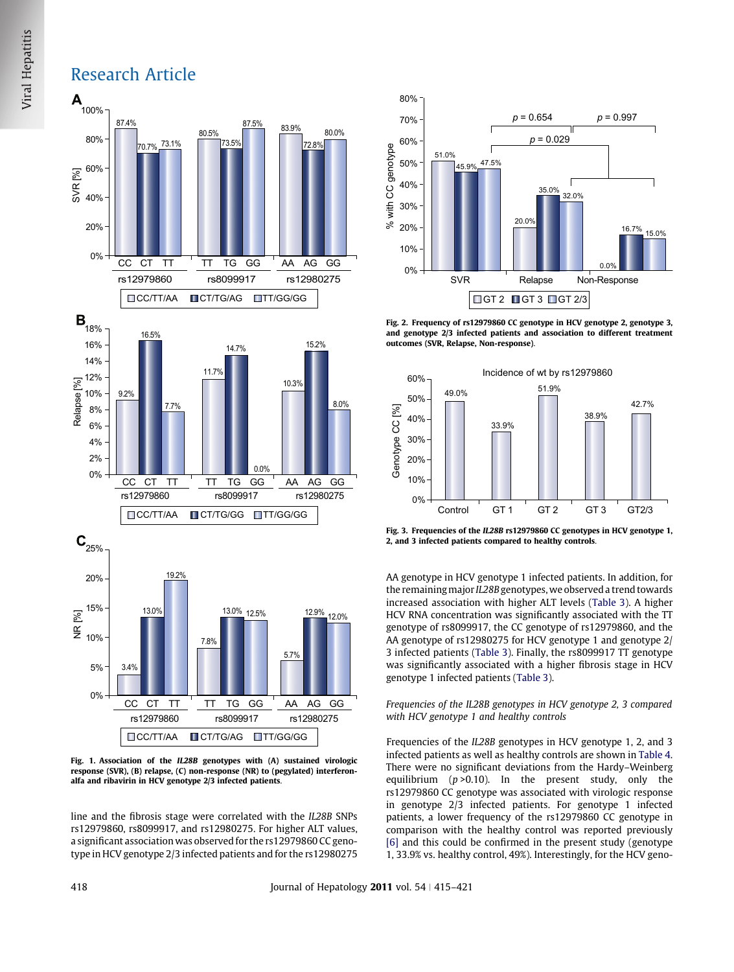## <span id="page-3-0"></span>Research Article



Fig. 1. Association of the IL28B genotypes with (A) sustained virologic response (SVR), (B) relapse, (C) non-response (NR) to (pegylated) interferonalfa and ribavirin in HCV genotype 2/3 infected patients.

line and the fibrosis stage were correlated with the IL28B SNPs rs12979860, rs8099917, and rs12980275. For higher ALT values, a significant association was observed for the rs12979860 CC genotype in HCV genotype 2/3 infected patients and for the rs12980275



Fig. 2. Frequency of rs12979860 CC genotype in HCV genotype 2, genotype 3, and genotype 2/3 infected patients and association to different treatment outcomes (SVR, Relapse, Non-response).



Fig. 3. Frequencies of the IL28B rs12979860 CC genotypes in HCV genotype 1, 2, and 3 infected patients compared to healthy controls.

AA genotype in HCV genotype 1 infected patients. In addition, for the remaining major IL28B genotypes, we observed a trend towards increased association with higher ALT levels [\(Table 3\)](#page-4-0). A higher HCV RNA concentration was significantly associated with the TT genotype of rs8099917, the CC genotype of rs12979860, and the AA genotype of rs12980275 for HCV genotype 1 and genotype 2/ 3 infected patients ([Table 3\)](#page-4-0). Finally, the rs8099917 TT genotype was significantly associated with a higher fibrosis stage in HCV genotype 1 infected patients [\(Table 3](#page-4-0)).

### Frequencies of the IL28B genotypes in HCV genotype 2, 3 compared with HCV genotype 1 and healthy controls

Frequencies of the IL28B genotypes in HCV genotype 1, 2, and 3 infected patients as well as healthy controls are shown in [Table 4](#page-5-0). There were no significant deviations from the Hardy–Weinberg equilibrium  $(p > 0.10)$ . In the present study, only the rs12979860 CC genotype was associated with virologic response in genotype 2/3 infected patients. For genotype 1 infected patients, a lower frequency of the rs12979860 CC genotype in comparison with the healthy control was reported previously [\[6\]](#page-6-0) and this could be confirmed in the present study (genotype 1, 33.9% vs. healthy control, 49%). Interestingly, for the HCV geno-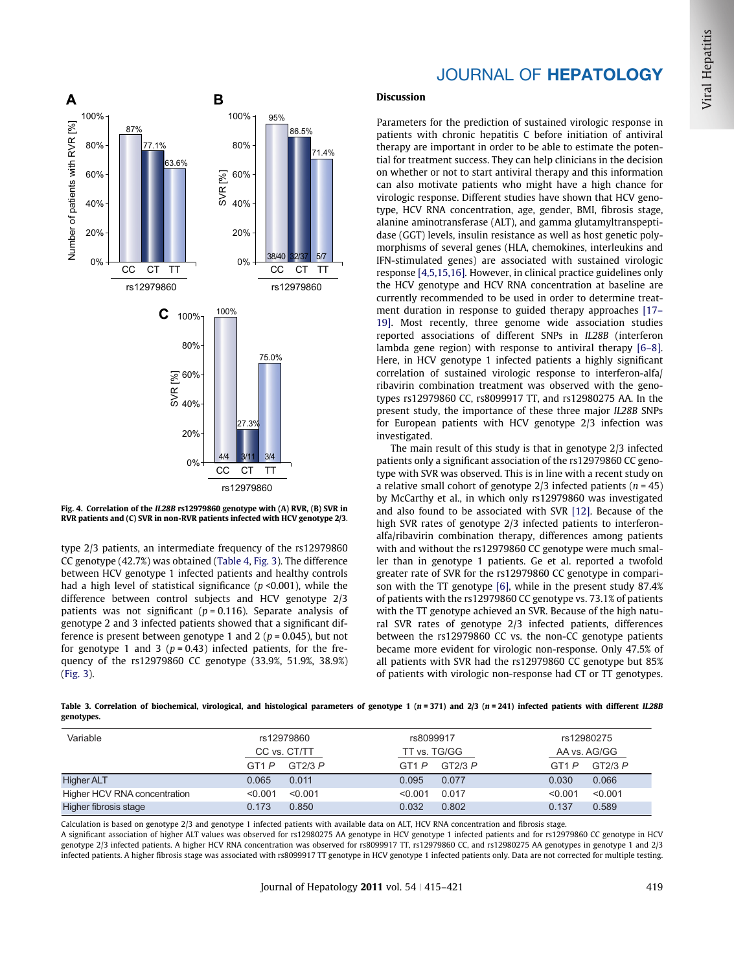<span id="page-4-0"></span>

Fig. 4. Correlation of the IL28B rs12979860 genotype with (A) RVR, (B) SVR in RVR patients and (C) SVR in non-RVR patients infected with HCV genotype 2/3.

type 2/3 patients, an intermediate frequency of the rs12979860 CC genotype (42.7%) was obtained [\(Table 4,](#page-5-0) [Fig. 3](#page-3-0)). The difference between HCV genotype 1 infected patients and healthy controls had a high level of statistical significance ( $p$  <0.001), while the difference between control subjects and HCV genotype 2/3 patients was not significant ( $p = 0.116$ ). Separate analysis of genotype 2 and 3 infected patients showed that a significant difference is present between genotype 1 and 2 ( $p = 0.045$ ), but not for genotype 1 and 3 ( $p = 0.43$ ) infected patients, for the frequency of the rs12979860 CC genotype (33.9%, 51.9%, 38.9%) [\(Fig. 3\)](#page-3-0).

## JOURNAL OF HEPATOLOGY

### Discussion

Parameters for the prediction of sustained virologic response in patients with chronic hepatitis C before initiation of antiviral therapy are important in order to be able to estimate the potential for treatment success. They can help clinicians in the decision on whether or not to start antiviral therapy and this information can also motivate patients who might have a high chance for virologic response. Different studies have shown that HCV genotype, HCV RNA concentration, age, gender, BMI, fibrosis stage, alanine aminotransferase (ALT), and gamma glutamyltranspeptidase (GGT) levels, insulin resistance as well as host genetic polymorphisms of several genes (HLA, chemokines, interleukins and IFN-stimulated genes) are associated with sustained virologic response [\[4,5,15,16\].](#page-6-0) However, in clinical practice guidelines only the HCV genotype and HCV RNA concentration at baseline are currently recommended to be used in order to determine treatment duration in response to guided therapy approaches [\[17–](#page-6-0) [19\]](#page-6-0). Most recently, three genome wide association studies reported associations of different SNPs in IL28B (interferon lambda gene region) with response to antiviral therapy [\[6–8\]](#page-6-0). Here, in HCV genotype 1 infected patients a highly significant correlation of sustained virologic response to interferon-alfa/ ribavirin combination treatment was observed with the genotypes rs12979860 CC, rs8099917 TT, and rs12980275 AA. In the present study, the importance of these three major IL28B SNPs for European patients with HCV genotype 2/3 infection was investigated.

The main result of this study is that in genotype 2/3 infected patients only a significant association of the rs12979860 CC genotype with SVR was observed. This is in line with a recent study on a relative small cohort of genotype  $2/3$  infected patients ( $n = 45$ ) by McCarthy et al., in which only rs12979860 was investigated and also found to be associated with SVR [\[12\]](#page-6-0). Because of the high SVR rates of genotype 2/3 infected patients to interferonalfa/ribavirin combination therapy, differences among patients with and without the rs12979860 CC genotype were much smaller than in genotype 1 patients. Ge et al. reported a twofold greater rate of SVR for the rs12979860 CC genotype in comparison with the TT genotype [\[6\]](#page-6-0), while in the present study 87.4% of patients with the rs12979860 CC genotype vs. 73.1% of patients with the TT genotype achieved an SVR. Because of the high natural SVR rates of genotype 2/3 infected patients, differences between the rs12979860 CC vs. the non-CC genotype patients became more evident for virologic non-response. Only 47.5% of all patients with SVR had the rs12979860 CC genotype but 85% of patients with virologic non-response had CT or TT genotypes.

Table 3. Correlation of biochemical, virological, and histological parameters of genotype 1 ( $n = 371$ ) and 2/3 ( $n = 241$ ) infected patients with different IL28B genotypes.

| Variable                     |              | rs12979860 | rs8099917    |         | rs12980275        |         |
|------------------------------|--------------|------------|--------------|---------|-------------------|---------|
|                              | CC vs. CT/TT |            | TT vs. TG/GG |         | AA vs. AG/GG      |         |
|                              | GT1 P        | GT2/3 P    | GT1 P        | GT2/3 P | GT <sub>1</sub> P | GT2/3 P |
| <b>Higher ALT</b>            | 0.065        | 0.011      | 0.095        | 0.077   | 0.030             | 0.066   |
| Higher HCV RNA concentration | < 0.001      | < 0.001    | < 0.001      | 0.017   | < 0.001           | < 0.001 |
| Higher fibrosis stage        | 0.173        | 0.850      | 0.032        | 0.802   | 0.137             | 0.589   |

Calculation is based on genotype 2/3 and genotype 1 infected patients with available data on ALT, HCV RNA concentration and fibrosis stage.

A significant association of higher ALT values was observed for rs12980275 AA genotype in HCV genotype 1 infected patients and for rs12979860 CC genotype in HCV genotype 2/3 infected patients. A higher HCV RNA concentration was observed for rs8099917 TT, rs12979860 CC, and rs12980275 AA genotypes in genotype 1 and 2/3 infected patients. A higher fibrosis stage was associated with rs8099917 TT genotype in HCV genotype 1 infected patients only. Data are not corrected for multiple testing.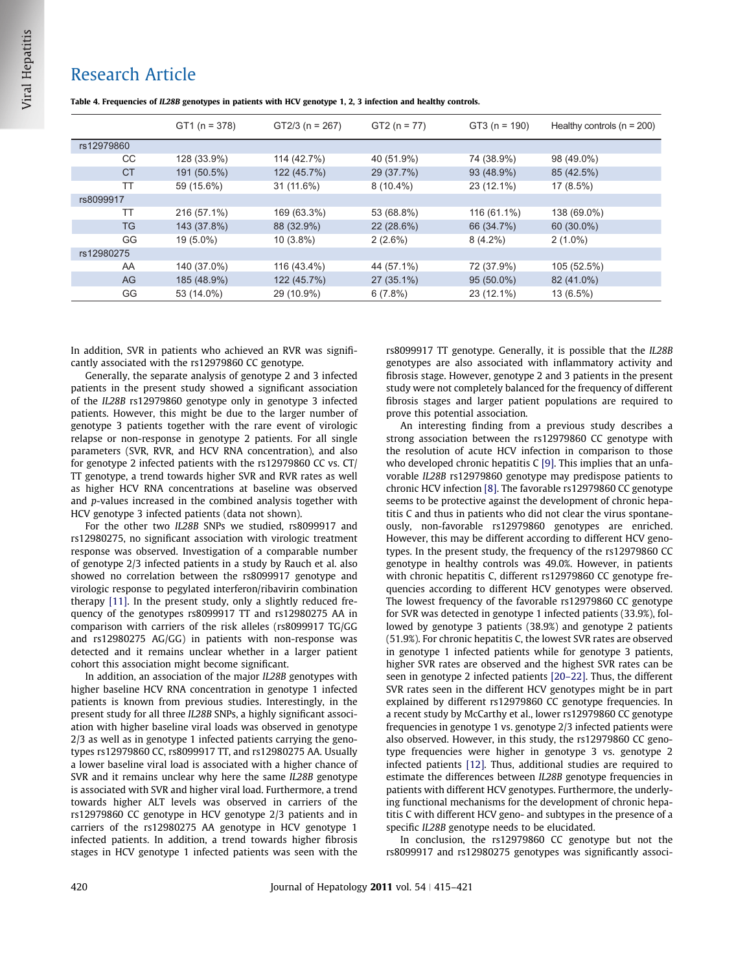## <span id="page-5-0"></span>Research Article

|            | $GT1 (n = 378)$ | $GT2/3$ (n = 267) | $GT2 (n = 77)$ | $GT3(n = 190)$ | Healthy controls ( $n = 200$ ) |
|------------|-----------------|-------------------|----------------|----------------|--------------------------------|
| rs12979860 |                 |                   |                |                |                                |
| CC.        | 128 (33.9%)     | 114 (42.7%)       | 40 (51.9%)     | 74 (38.9%)     | 98 (49.0%)                     |
| <b>CT</b>  | 191 (50.5%)     | 122 (45.7%)       | 29 (37.7%)     | 93 (48.9%)     | 85 (42.5%)                     |
| TT         | 59 (15.6%)      | 31 (11.6%)        | $8(10.4\%)$    | 23 (12.1%)     | $17(8.5\%)$                    |
| rs8099917  |                 |                   |                |                |                                |
| ТT         | 216 (57.1%)     | 169 (63.3%)       | 53 (68.8%)     | 116 (61.1%)    | 138 (69.0%)                    |
| <b>TG</b>  | 143 (37.8%)     | 88 (32.9%)        | 22 (28.6%)     | 66 (34.7%)     | 60 (30.0%)                     |
| GG         | 19 (5.0%)       | $10(3.8\%)$       | 2(2.6%)        | $8(4.2\%)$     | $2(1.0\%)$                     |
| rs12980275 |                 |                   |                |                |                                |
| AA         | 140 (37.0%)     | 116 (43.4%)       | 44 (57.1%)     | 72 (37.9%)     | 105 (52.5%)                    |
| AG         | 185 (48.9%)     | 122 (45.7%)       | 27 (35.1%)     | $95(50.0\%)$   | 82 (41.0%)                     |
| GG         | 53 (14.0%)      | 29 (10.9%)        | 6(7.8%)        | 23 (12.1%)     | 13 (6.5%)                      |

Table 4. Frequencies of IL28B genotypes in patients with HCV genotype 1, 2, 3 infection and healthy controls.

In addition, SVR in patients who achieved an RVR was significantly associated with the rs12979860 CC genotype.

Generally, the separate analysis of genotype 2 and 3 infected patients in the present study showed a significant association of the IL28B rs12979860 genotype only in genotype 3 infected patients. However, this might be due to the larger number of genotype 3 patients together with the rare event of virologic relapse or non-response in genotype 2 patients. For all single parameters (SVR, RVR, and HCV RNA concentration), and also for genotype 2 infected patients with the rs12979860 CC vs. CT/ TT genotype, a trend towards higher SVR and RVR rates as well as higher HCV RNA concentrations at baseline was observed and p-values increased in the combined analysis together with HCV genotype 3 infected patients (data not shown).

For the other two IL28B SNPs we studied, rs8099917 and rs12980275, no significant association with virologic treatment response was observed. Investigation of a comparable number of genotype 2/3 infected patients in a study by Rauch et al. also showed no correlation between the rs8099917 genotype and virologic response to pegylated interferon/ribavirin combination therapy [\[11\]](#page-6-0). In the present study, only a slightly reduced frequency of the genotypes rs8099917 TT and rs12980275 AA in comparison with carriers of the risk alleles (rs8099917 TG/GG and rs12980275 AG/GG) in patients with non-response was detected and it remains unclear whether in a larger patient cohort this association might become significant.

In addition, an association of the major IL28B genotypes with higher baseline HCV RNA concentration in genotype 1 infected patients is known from previous studies. Interestingly, in the present study for all three IL28B SNPs, a highly significant association with higher baseline viral loads was observed in genotype 2/3 as well as in genotype 1 infected patients carrying the genotypes rs12979860 CC, rs8099917 TT, and rs12980275 AA. Usually a lower baseline viral load is associated with a higher chance of SVR and it remains unclear why here the same IL28B genotype is associated with SVR and higher viral load. Furthermore, a trend towards higher ALT levels was observed in carriers of the rs12979860 CC genotype in HCV genotype 2/3 patients and in carriers of the rs12980275 AA genotype in HCV genotype 1 infected patients. In addition, a trend towards higher fibrosis stages in HCV genotype 1 infected patients was seen with the rs8099917 TT genotype. Generally, it is possible that the IL28B genotypes are also associated with inflammatory activity and fibrosis stage. However, genotype 2 and 3 patients in the present study were not completely balanced for the frequency of different fibrosis stages and larger patient populations are required to prove this potential association.

An interesting finding from a previous study describes a strong association between the rs12979860 CC genotype with the resolution of acute HCV infection in comparison to those who developed chronic hepatitis C [\[9\]](#page-6-0). This implies that an unfavorable IL28B rs12979860 genotype may predispose patients to chronic HCV infection [\[8\]](#page-6-0). The favorable rs12979860 CC genotype seems to be protective against the development of chronic hepatitis C and thus in patients who did not clear the virus spontaneously, non-favorable rs12979860 genotypes are enriched. However, this may be different according to different HCV genotypes. In the present study, the frequency of the rs12979860 CC genotype in healthy controls was 49.0%. However, in patients with chronic hepatitis C, different rs12979860 CC genotype frequencies according to different HCV genotypes were observed. The lowest frequency of the favorable rs12979860 CC genotype for SVR was detected in genotype 1 infected patients (33.9%), followed by genotype 3 patients (38.9%) and genotype 2 patients (51.9%). For chronic hepatitis C, the lowest SVR rates are observed in genotype 1 infected patients while for genotype 3 patients, higher SVR rates are observed and the highest SVR rates can be seen in genotype 2 infected patients [\[20–22\]](#page-6-0). Thus, the different SVR rates seen in the different HCV genotypes might be in part explained by different rs12979860 CC genotype frequencies. In a recent study by McCarthy et al., lower rs12979860 CC genotype frequencies in genotype 1 vs. genotype 2/3 infected patients were also observed. However, in this study, the rs12979860 CC genotype frequencies were higher in genotype 3 vs. genotype 2 infected patients [\[12\].](#page-6-0) Thus, additional studies are required to estimate the differences between IL28B genotype frequencies in patients with different HCV genotypes. Furthermore, the underlying functional mechanisms for the development of chronic hepatitis C with different HCV geno- and subtypes in the presence of a specific IL28B genotype needs to be elucidated.

In conclusion, the rs12979860 CC genotype but not the rs8099917 and rs12980275 genotypes was significantly associ-